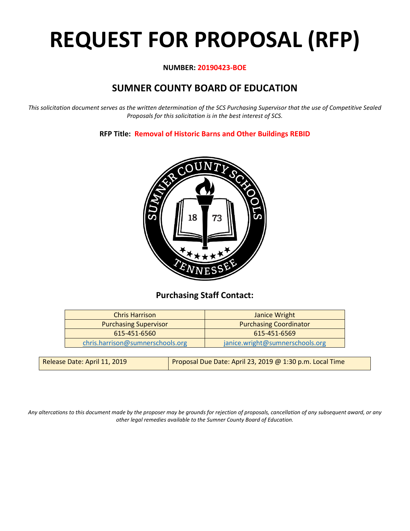# **REQUEST FOR PROPOSAL (RFP)**

## **NUMBER: 20190423-BOE**

# **SUMNER COUNTY BOARD OF EDUCATION**

*This solicitation document serves as the written determination of the SCS Purchasing Supervisor that the use of Competitive Sealed Proposals for this solicitation is in the best interest of SCS.*

# **RFP Title: Removal of Historic Barns and Other Buildings REBID**



# **Purchasing Staff Contact:**

| <b>Chris Harrison</b>            | Janice Wright                   |
|----------------------------------|---------------------------------|
| <b>Purchasing Supervisor</b>     | <b>Purchasing Coordinator</b>   |
| 615-451-6560                     | 615-451-6569                    |
| chris.harrison@sumnerschools.org | janice.wright@sumnerschools.org |

| Release Date: April 11, 2019 | Proposal Due Date: April 23, 2019 @ 1:30 p.m. Local Time |
|------------------------------|----------------------------------------------------------|
|------------------------------|----------------------------------------------------------|

*Any altercations to this document made by the proposer may be grounds for rejection of proposals, cancellation of any subsequent award, or any other legal remedies available to the Sumner County Board of Education.*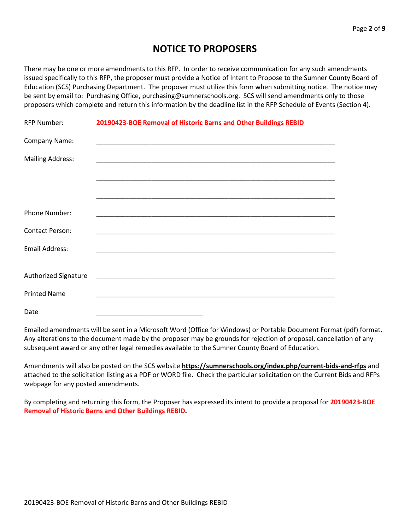# **NOTICE TO PROPOSERS**

There may be one or more amendments to this RFP. In order to receive communication for any such amendments issued specifically to this RFP, the proposer must provide a Notice of Intent to Propose to the Sumner County Board of Education (SCS) Purchasing Department. The proposer must utilize this form when submitting notice. The notice may be sent by email to: Purchasing Office, purchasing@sumnerschools.org. SCS will send amendments only to those proposers which complete and return this information by the deadline list in the RFP Schedule of Events (Section 4).

| <b>RFP Number:</b>          | 20190423-BOE Removal of Historic Barns and Other Buildings REBID |
|-----------------------------|------------------------------------------------------------------|
| Company Name:               |                                                                  |
| <b>Mailing Address:</b>     |                                                                  |
|                             |                                                                  |
|                             |                                                                  |
| Phone Number:               |                                                                  |
| <b>Contact Person:</b>      |                                                                  |
| <b>Email Address:</b>       |                                                                  |
|                             |                                                                  |
| <b>Authorized Signature</b> |                                                                  |
| <b>Printed Name</b>         |                                                                  |
| Date                        |                                                                  |

Emailed amendments will be sent in a Microsoft Word (Office for Windows) or Portable Document Format (pdf) format. Any alterations to the document made by the proposer may be grounds for rejection of proposal, cancellation of any subsequent award or any other legal remedies available to the Sumner County Board of Education.

Amendments will also be posted on the SCS website **https://sumnerschools.org/index.php/current-bids-and-rfps** and attached to the solicitation listing as a PDF or WORD file. Check the particular solicitation on the Current Bids and RFPs webpage for any posted amendments.

By completing and returning this form, the Proposer has expressed its intent to provide a proposal for **20190423-BOE Removal of Historic Barns and Other Buildings REBID.**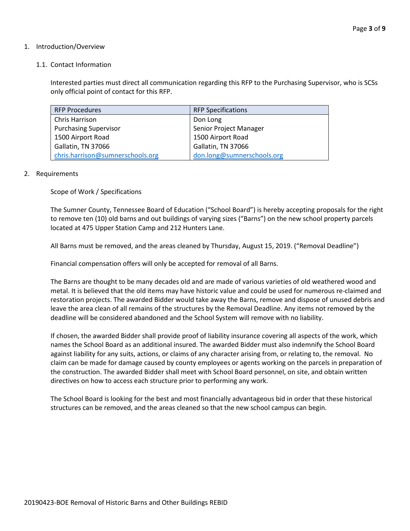#### 1. Introduction/Overview

#### 1.1. Contact Information

Interested parties must direct all communication regarding this RFP to the Purchasing Supervisor, who is SCSs only official point of contact for this RFP.

| <b>RFP Procedures</b>            | <b>RFP Specifications</b>  |
|----------------------------------|----------------------------|
| Chris Harrison                   | Don Long                   |
| <b>Purchasing Supervisor</b>     | Senior Project Manager     |
| 1500 Airport Road                | 1500 Airport Road          |
| Gallatin, TN 37066               | Gallatin, TN 37066         |
| chris.harrison@sumnerschools.org | don.long@sumnerschools.org |

#### 2. Requirements

Scope of Work / Specifications

The Sumner County, Tennessee Board of Education ("School Board") is hereby accepting proposals for the right to remove ten (10) old barns and out buildings of varying sizes ("Barns") on the new school property parcels located at 475 Upper Station Camp and 212 Hunters Lane.

All Barns must be removed, and the areas cleaned by Thursday, August 15, 2019. ("Removal Deadline")

Financial compensation offers will only be accepted for removal of all Barns.

The Barns are thought to be many decades old and are made of various varieties of old weathered wood and metal. It is believed that the old items may have historic value and could be used for numerous re-claimed and restoration projects. The awarded Bidder would take away the Barns, remove and dispose of unused debris and leave the area clean of all remains of the structures by the Removal Deadline. Any items not removed by the deadline will be considered abandoned and the School System will remove with no liability.

If chosen, the awarded Bidder shall provide proof of liability insurance covering all aspects of the work, which names the School Board as an additional insured. The awarded Bidder must also indemnify the School Board against liability for any suits, actions, or claims of any character arising from, or relating to, the removal. No claim can be made for damage caused by county employees or agents working on the parcels in preparation of the construction. The awarded Bidder shall meet with School Board personnel, on site, and obtain written directives on how to access each structure prior to performing any work.

The School Board is looking for the best and most financially advantageous bid in order that these historical structures can be removed, and the areas cleaned so that the new school campus can begin.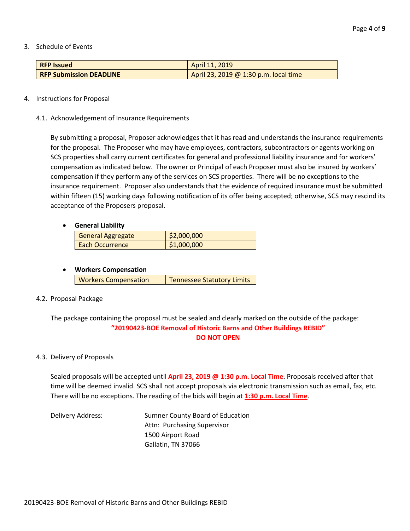#### 3. Schedule of Events

| <b>RFP Issued</b>              | April 11, 2019                        |
|--------------------------------|---------------------------------------|
| <b>RFP Submission DEADLINE</b> | April 23, 2019 @ 1:30 p.m. local time |

#### 4. Instructions for Proposal

4.1. Acknowledgement of Insurance Requirements

By submitting a proposal, Proposer acknowledges that it has read and understands the insurance requirements for the proposal. The Proposer who may have employees, contractors, subcontractors or agents working on SCS properties shall carry current certificates for general and professional liability insurance and for workers' compensation as indicated below. The owner or Principal of each Proposer must also be insured by workers' compensation if they perform any of the services on SCS properties. There will be no exceptions to the insurance requirement. Proposer also understands that the evidence of required insurance must be submitted within fifteen (15) working days following notification of its offer being accepted; otherwise, SCS may rescind its acceptance of the Proposers proposal.

### • **General Liability**

| <b>General Aggregate</b> | \$2,000,000 |
|--------------------------|-------------|
| Each Occurrence          | \$1,000,000 |

## • **Workers Compensation**

| <b>Workers Compensation</b> | Tennessee Statutory Limits |
|-----------------------------|----------------------------|

#### 4.2. Proposal Package

The package containing the proposal must be sealed and clearly marked on the outside of the package: **"20190423-BOE Removal of Historic Barns and Other Buildings REBID" DO NOT OPEN**

#### 4.3. Delivery of Proposals

Sealed proposals will be accepted until **April 23, 2019 @ 1:30 p.m. Local Time**. Proposals received after that time will be deemed invalid. SCS shall not accept proposals via electronic transmission such as email, fax, etc. There will be no exceptions. The reading of the bids will begin at **1:30 p.m. Local Time**.

Delivery Address: Sumner County Board of Education Attn: Purchasing Supervisor 1500 Airport Road Gallatin, TN 37066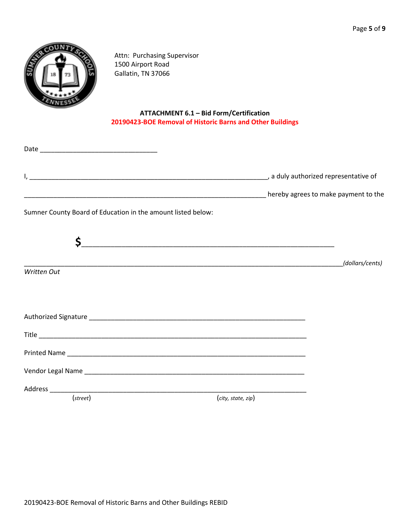

Attn: Purchasing Supervisor 1500 Airport Road Gallatin, TN 37066

# **ATTACHMENT 6.1 – Bid Form/Certification 20190423-BOE Removal of Historic Barns and Other Buildings**

| Sumner County Board of Education in the amount listed below: |                    |                 |
|--------------------------------------------------------------|--------------------|-----------------|
| \$                                                           |                    |                 |
|                                                              |                    | (dollars/cents) |
| Written Out                                                  |                    |                 |
|                                                              |                    |                 |
|                                                              |                    |                 |
|                                                              |                    |                 |
|                                                              |                    |                 |
|                                                              |                    |                 |
|                                                              |                    |                 |
| $(\text{street})$                                            | (city, state, zip) |                 |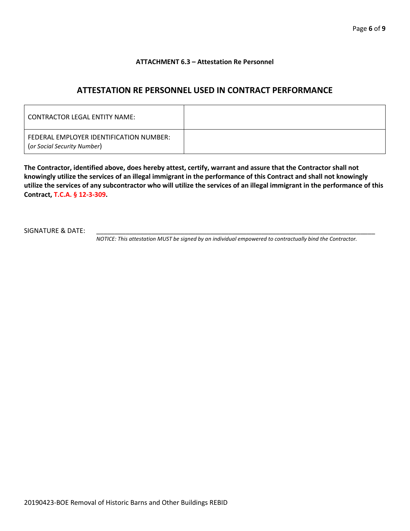#### **ATTACHMENT 6.3 – Attestation Re Personnel**

# **ATTESTATION RE PERSONNEL USED IN CONTRACT PERFORMANCE**

| CONTRACTOR LEGAL ENTITY NAME:                                          |  |
|------------------------------------------------------------------------|--|
| FEDERAL EMPLOYER IDENTIFICATION NUMBER:<br>(or Social Security Number) |  |

**The Contractor, identified above, does hereby attest, certify, warrant and assure that the Contractor shall not knowingly utilize the services of an illegal immigrant in the performance of this Contract and shall not knowingly utilize the services of any subcontractor who will utilize the services of an illegal immigrant in the performance of this Contract, T.C.A. § 12-3-309.**

SIGNATURE & DATE:

*NOTICE: This attestation MUST be signed by an individual empowered to contractually bind the Contractor.*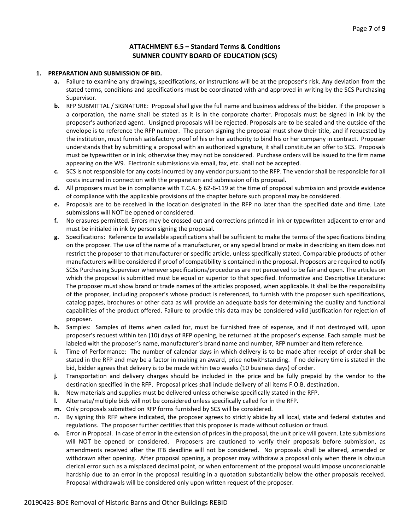#### **ATTACHMENT 6.5 – Standard Terms & Conditions SUMNER COUNTY BOARD OF EDUCATION (SCS)**

#### **1. PREPARATION AND SUBMISSION OF BID.**

- **a.** Failure to examine any drawings**,** specifications, or instructions will be at the proposer's risk. Any deviation from the stated terms, conditions and specifications must be coordinated with and approved in writing by the SCS Purchasing Supervisor.
- **b.** RFP SUBMITTAL / SIGNATURE: Proposal shall give the full name and business address of the bidder. If the proposer is a corporation, the name shall be stated as it is in the corporate charter. Proposals must be signed in ink by the proposer's authorized agent. Unsigned proposals will be rejected. Proposals are to be sealed and the outside of the envelope is to reference the RFP number. The person signing the proposal must show their title, and if requested by the institution, must furnish satisfactory proof of his or her authority to bind his or her company in contract. Proposer understands that by submitting a proposal with an authorized signature, it shall constitute an offer to SCS. Proposals must be typewritten or in ink; otherwise they may not be considered. Purchase orders will be issued to the firm name appearing on the W9. Electronic submissions via email, fax, etc. shall not be accepted.
- **c.** SCS is not responsible for any costs incurred by any vendor pursuant to the RFP. The vendor shall be responsible for all costs incurred in connection with the preparation and submission of its proposal.
- **d.** All proposers must be in compliance with T.C.A. § 62-6-119 at the time of proposal submission and provide evidence of compliance with the applicable provisions of the chapter before such proposal may be considered.
- **e.** Proposals are to be received in the location designated in the RFP no later than the specified date and time. Late submissions will NOT be opened or considered.
- **f.** No erasures permitted. Errors may be crossed out and corrections printed in ink or typewritten adjacent to error and must be initialed in ink by person signing the proposal.
- **g.** Specifications: Reference to available specifications shall be sufficient to make the terms of the specifications binding on the proposer. The use of the name of a manufacturer, or any special brand or make in describing an item does not restrict the proposer to that manufacturer or specific article, unless specifically stated. Comparable products of other manufacturers will be considered if proof of compatibility is contained in the proposal. Proposers are required to notify SCSs Purchasing Supervisor whenever specifications/procedures are not perceived to be fair and open. The articles on which the proposal is submitted must be equal or superior to that specified. Informative and Descriptive Literature: The proposer must show brand or trade names of the articles proposed, when applicable. It shall be the responsibility of the proposer, including proposer's whose product is referenced, to furnish with the proposer such specifications, catalog pages, brochures or other data as will provide an adequate basis for determining the quality and functional capabilities of the product offered. Failure to provide this data may be considered valid justification for rejection of proposer.
- **h.** Samples: Samples of items when called for, must be furnished free of expense, and if not destroyed will, upon proposer's request within ten (10) days of RFP opening, be returned at the proposer's expense. Each sample must be labeled with the proposer's name, manufacturer's brand name and number, RFP number and item reference.
- **i.** Time of Performance: The number of calendar days in which delivery is to be made after receipt of order shall be stated in the RFP and may be a factor in making an award, price notwithstanding. If no delivery time is stated in the bid, bidder agrees that delivery is to be made within two weeks (10 business days) of order.
- **j.** Transportation and delivery charges should be included in the price and be fully prepaid by the vendor to the destination specified in the RFP. Proposal prices shall include delivery of all items F.O.B. destination.
- **k.** New materials and supplies must be delivered unless otherwise specifically stated in the RFP.
- **l.** Alternate/multiple bids will not be considered unless specifically called for in the RFP.
- **m.** Only proposals submitted on RFP forms furnished by SCS will be considered.
- n. By signing this RFP where indicated, the proposer agrees to strictly abide by all local, state and federal statutes and regulations. The proposer further certifies that this proposer is made without collusion or fraud.
- **o.** Error in Proposal. In case of error in the extension of prices in the proposal, the unit price will govern. Late submissions will NOT be opened or considered. Proposers are cautioned to verify their proposals before submission, as amendments received after the ITB deadline will not be considered. No proposals shall be altered, amended or withdrawn after opening. After proposal opening, a proposer may withdraw a proposal only when there is obvious clerical error such as a misplaced decimal point, or when enforcement of the proposal would impose unconscionable hardship due to an error in the proposal resulting in a quotation substantially below the other proposals received. Proposal withdrawals will be considered only upon written request of the proposer.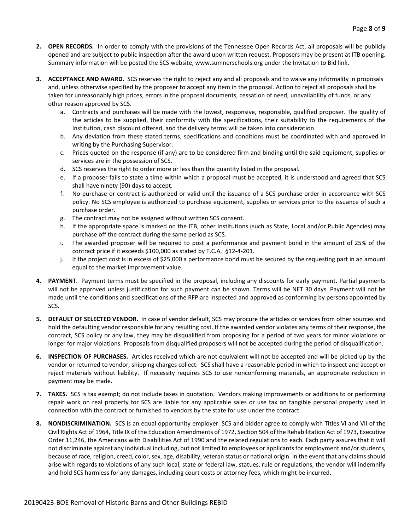- **2. OPEN RECORDS.** In order to comply with the provisions of the Tennessee Open Records Act, all proposals will be publicly opened and are subject to public inspection after the award upon written request. Proposers may be present at ITB opening. Summary information will be posted the SCS website, www.sumnerschools.org under the Invitation to Bid link.
- **3. ACCEPTANCE AND AWARD.** SCS reserves the right to reject any and all proposals and to waive any informality in proposals and, unless otherwise specified by the proposer to accept any item in the proposal. Action to reject all proposals shall be taken for unreasonably high prices, errors in the proposal documents, cessation of need, unavailability of funds, or any other reason approved by SCS.
	- a. Contracts and purchases will be made with the lowest, responsive, responsible, qualified proposer. The quality of the articles to be supplied, their conformity with the specifications, their suitability to the requirements of the Institution, cash discount offered, and the delivery terms will be taken into consideration.
	- b. Any deviation from these stated terms, specifications and conditions must be coordinated with and approved in writing by the Purchasing Supervisor.
	- c. Prices quoted on the response (if any) are to be considered firm and binding until the said equipment, supplies or services are in the possession of SCS.
	- d. SCS reserves the right to order more or less than the quantity listed in the proposal.
	- e. If a proposer fails to state a time within which a proposal must be accepted, it is understood and agreed that SCS shall have ninety (90) days to accept.
	- f. No purchase or contract is authorized or valid until the issuance of a SCS purchase order in accordance with SCS policy. No SCS employee is authorized to purchase equipment, supplies or services prior to the issuance of such a purchase order.
	- g. The contract may not be assigned without written SCS consent.
	- h. If the appropriate space is marked on the ITB, other Institutions (such as State, Local and/or Public Agencies) may purchase off the contract during the same period as SCS.
	- i. The awarded proposer will be required to post a performance and payment bond in the amount of 25% of the contract price if it exceeds \$100,000 as stated by T.C.A. §12-4-201.
	- j. If the project cost is in excess of \$25,000 a performance bond must be secured by the requesting part in an amount equal to the market improvement value.
- **4. PAYMENT**. Payment terms must be specified in the proposal, including any discounts for early payment. Partial payments will not be approved unless justification for such payment can be shown. Terms will be NET 30 days. Payment will not be made until the conditions and specifications of the RFP are inspected and approved as conforming by persons appointed by SCS.
- **5. DEFAULT OF SELECTED VENDOR.** In case of vendor default, SCS may procure the articles or services from other sources and hold the defaulting vendor responsible for any resulting cost. If the awarded vendor violates any terms of their response, the contract, SCS policy or any law, they may be disqualified from proposing for a period of two years for minor violations or longer for major violations. Proposals from disqualified proposers will not be accepted during the period of disqualification.
- **6. INSPECTION OF PURCHASES.** Articles received which are not equivalent will not be accepted and will be picked up by the vendor or returned to vendor, shipping charges collect. SCS shall have a reasonable period in which to inspect and accept or reject materials without liability. If necessity requires SCS to use nonconforming materials, an appropriate reduction in payment may be made.
- **7. TAXES.** SCS is tax exempt; do not include taxes in quotation. Vendors making improvements or additions to or performing repair work on real property for SCS are liable for any applicable sales or use tax on tangible personal property used in connection with the contract or furnished to vendors by the state for use under the contract.
- **8. NONDISCRIMINATION.** SCS is an equal opportunity employer. SCS and bidder agree to comply with Titles VI and VII of the Civil Rights Act of 1964, Title IX of the Education Amendments of 1972, Section 504 of the Rehabilitation Act of 1973, Executive Order 11,246, the Americans with Disabilities Act of 1990 and the related regulations to each. Each party assures that it will not discriminate against any individual including, but not limited to employees or applicants for employment and/or students, because of race, religion, creed, color, sex, age, disability, veteran status or national origin. In the event that any claims should arise with regards to violations of any such local, state or federal law, statues, rule or regulations, the vendor will indemnify and hold SCS harmless for any damages, including court costs or attorney fees, which might be incurred.